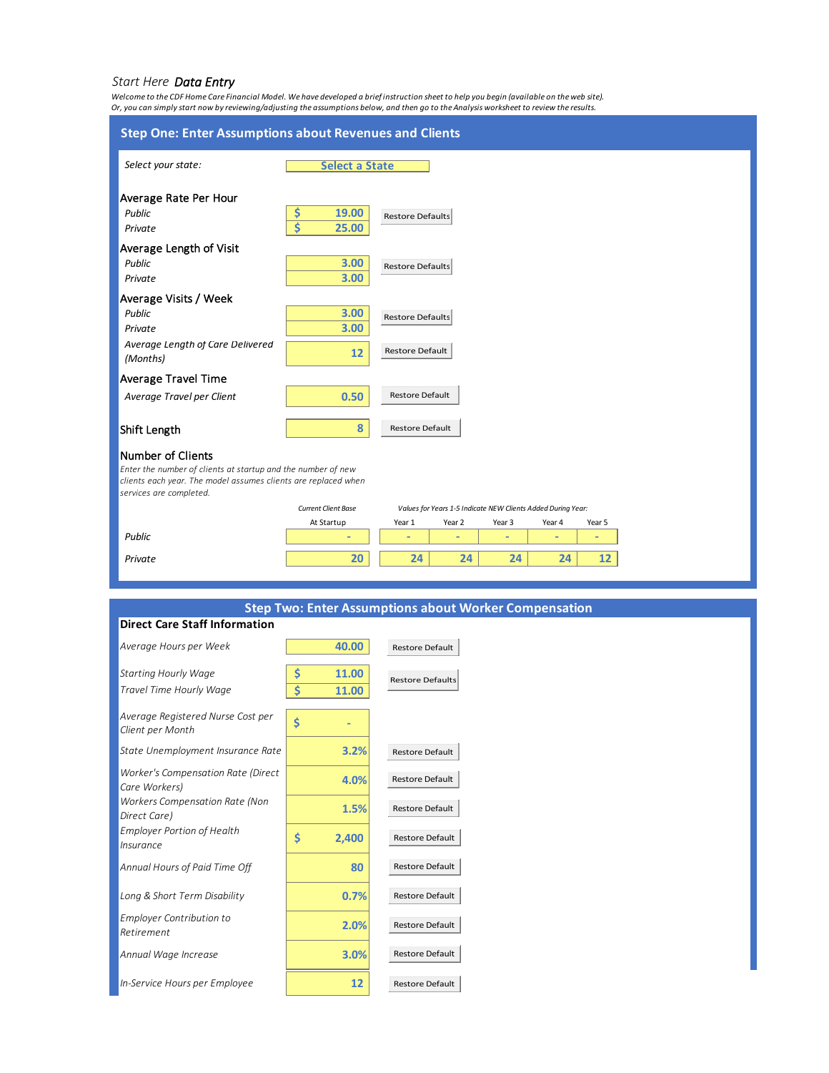### *Start Here Data Entry*

*Welcome to the CDF Home Care Financial Model. We have developed a brief instruction sheet to help you begin (available on the web site). Or, you can simply start now by reviewing/adjusting the assumptions below, and then go to the Analysis worksheet to review the results.*



### **Step Two: Enter Assumptions about Worker Compensation**

| <b>Direct Care Staff Information</b>                  |            |                         |
|-------------------------------------------------------|------------|-------------------------|
| Average Hours per Week                                | 40.00      | <b>Restore Default</b>  |
| <b>Starting Hourly Wage</b>                           | Ś<br>11.00 | <b>Restore Defaults</b> |
| Travel Time Hourly Wage                               | Ś<br>11.00 |                         |
| Average Registered Nurse Cost per<br>Client per Month | \$         |                         |
| State Unemployment Insurance Rate                     | 3.2%       | <b>Restore Default</b>  |
| Worker's Compensation Rate (Direct<br>Care Workers)   | 4.0%       | <b>Restore Default</b>  |
| <b>Workers Compensation Rate (Non</b><br>Direct Care) | 1.5%       | <b>Restore Default</b>  |
| <b>Employer Portion of Health</b><br><i>Insurance</i> | Ś<br>2,400 | <b>Restore Default</b>  |
| Annual Hours of Paid Time Off                         | 80         | <b>Restore Default</b>  |
| Long & Short Term Disability                          | 0.7%       | <b>Restore Default</b>  |
| <b>Employer Contribution to</b><br>Retirement         | 2.0%       | <b>Restore Default</b>  |
| Annual Wage Increase                                  | 3.0%       | <b>Restore Default</b>  |
| In-Service Hours per Employee                         | 12         | <b>Restore Default</b>  |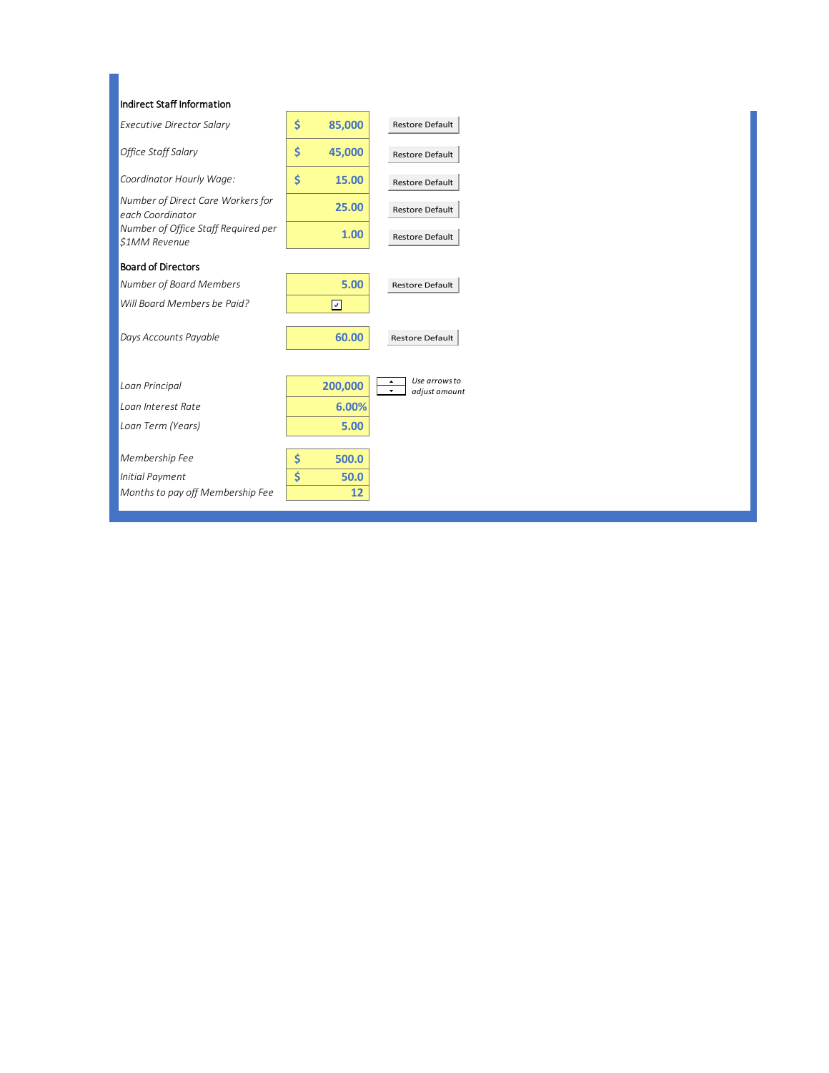| Indirect Staff Information                                 |              |                                                                        |
|------------------------------------------------------------|--------------|------------------------------------------------------------------------|
| <b>Executive Director Salary</b>                           | \$<br>85,000 | Restore Default                                                        |
| Office Staff Salary                                        | \$<br>45,000 | Restore Default                                                        |
| Coordinator Hourly Wage:                                   | \$<br>15.00  | <b>Restore Default</b>                                                 |
| Number of Direct Care Workers for<br>each Coordinator      | 25.00        | Restore Default                                                        |
| Number of Office Staff Required per<br><b>S1MM Revenue</b> | 1.00         | Restore Default                                                        |
| <b>Board of Directors</b>                                  |              |                                                                        |
| Number of Board Members                                    | 5.00         | <b>Restore Default</b>                                                 |
| Will Board Members be Paid?                                | m            |                                                                        |
| Days Accounts Payable                                      | 60.00        | Restore Default                                                        |
| Loan Principal                                             | 200,000      | Use arrows to<br>$\Delta$<br>$\overline{\phantom{a}}$<br>adjust amount |
| Loan Interest Rate                                         | 6.00%        |                                                                        |
| Loan Term (Years)                                          | 5.00         |                                                                        |
| Membership Fee                                             | 500.0<br>\$  |                                                                        |
| Initial Payment                                            | \$<br>50.0   |                                                                        |
| Months to pay off Membership Fee                           | 12           |                                                                        |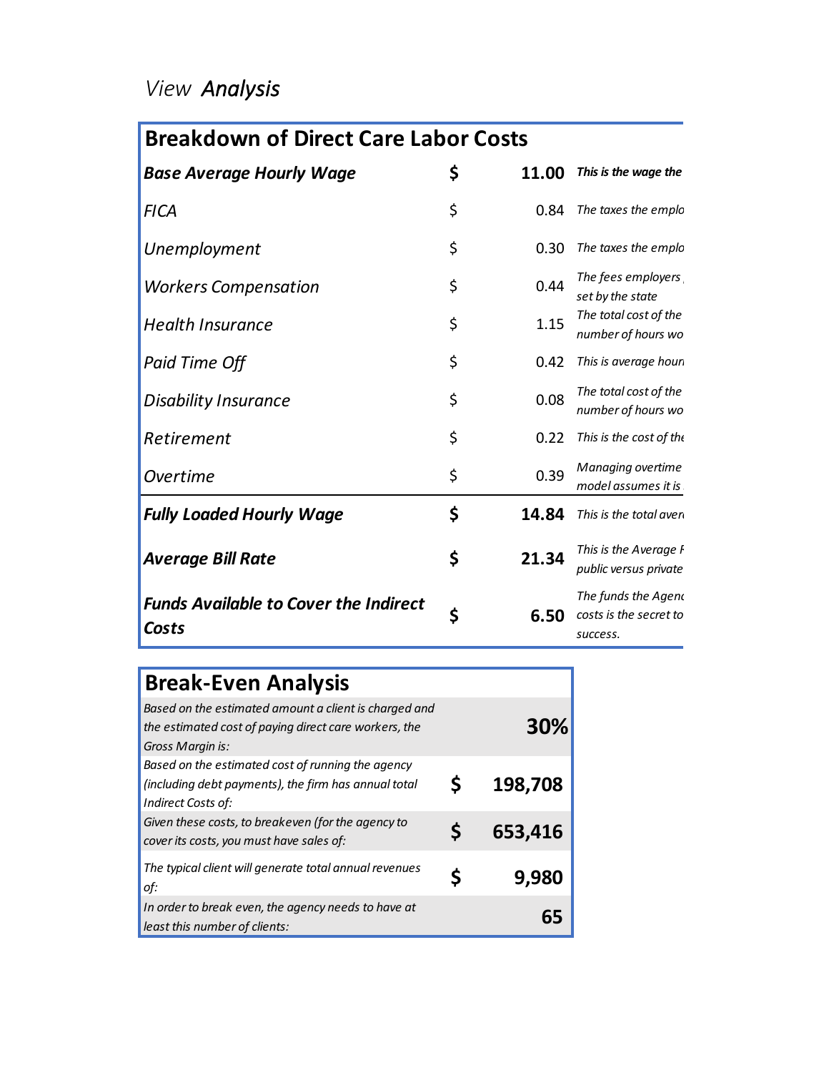## *View Analysis*

# **Breakdown of Direct Care Labor Costs**

| <b>Base Average Hourly Wage</b>                       | \$<br>11.00 | This is the wage the                                      |
|-------------------------------------------------------|-------------|-----------------------------------------------------------|
| <b>FICA</b>                                           | \$          | 0.84 The taxes the emplo                                  |
| Unemployment                                          | \$<br>0.30  | The taxes the emplo                                       |
| <b>Workers Compensation</b>                           | \$<br>0.44  | The fees employers<br>set by the state                    |
| <b>Health Insurance</b>                               | \$<br>1.15  | The total cost of the<br>number of hours wo               |
| Paid Time Off                                         | \$<br>0.42  | This is average houn                                      |
| <b>Disability Insurance</b>                           | \$<br>0.08  | The total cost of the<br>number of hours wo               |
| Retirement                                            | \$<br>0.22  | This is the cost of the                                   |
| Overtime                                              | \$<br>0.39  | <b>Managing overtime</b><br>model assumes it is           |
| <b>Fully Loaded Hourly Wage</b>                       | \$<br>14.84 | This is the total aven                                    |
| <b>Average Bill Rate</b>                              | \$<br>21.34 | This is the Average F<br>public versus private            |
| <b>Funds Available to Cover the Indirect</b><br>Costs | \$<br>6.50  | The funds the Agend<br>costs is the secret to<br>success. |

| <b>Break-Even Analysis</b>                                                                                                         |         |
|------------------------------------------------------------------------------------------------------------------------------------|---------|
| Based on the estimated amount a client is charged and<br>the estimated cost of paying direct care workers, the<br>Gross Margin is: | 30%     |
| Based on the estimated cost of running the agency<br>(including debt payments), the firm has annual total<br>Indirect Costs of:    | 198,708 |
| Given these costs, to breakeven (for the agency to<br>cover its costs, you must have sales of:                                     | 653,416 |
| The typical client will generate total annual revenues<br>of:                                                                      | 9,980   |
| In order to break even, the agency needs to have at<br>least this number of clients:                                               |         |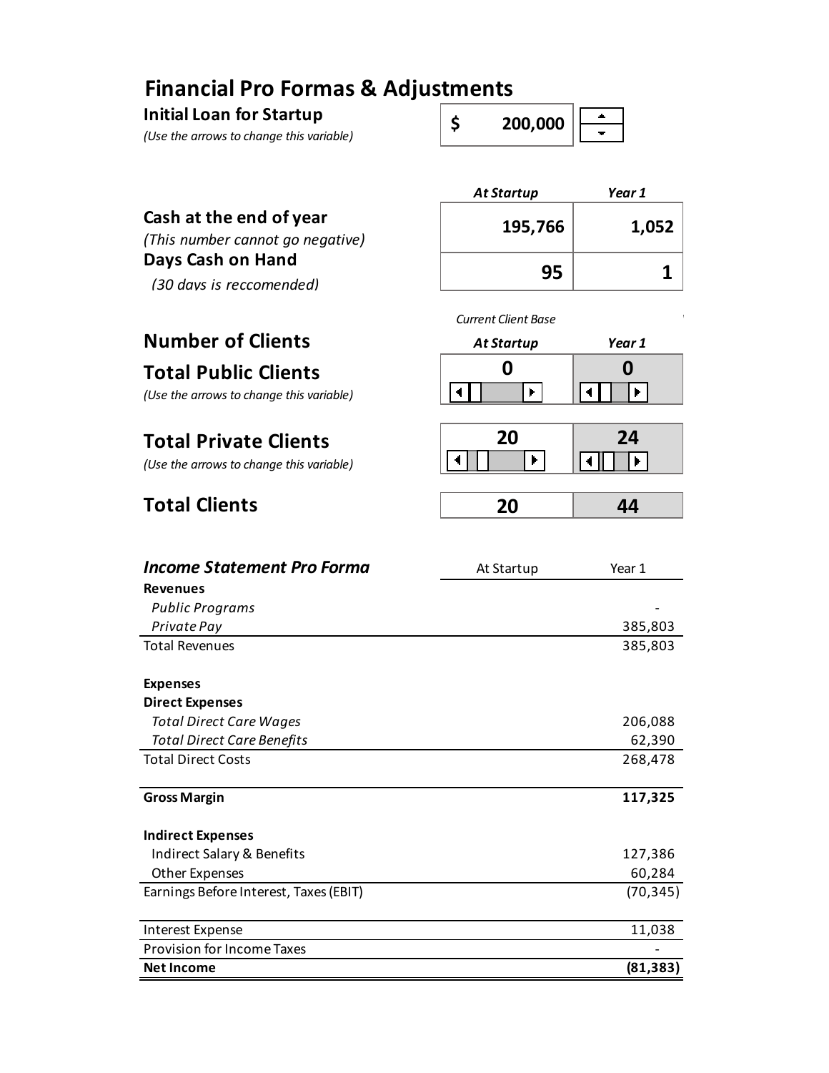## **Financial Pro Formas & Adjustments**

**Initial Loan for Startup**

*(Use the arrows to change this variable)* 

| 200.000 |  |
|---------|--|
|         |  |

## **Cash at the end of year**

*(This number cannot go negative)* **Days Cash on Hand**

*(30 days is reccomended)* **95 1**

# **Total Public Clients**

*(Use the arrows to change this variable)*

## **Total Private Clients**

*(Use the arrows to change this variable)*

## **Total Clients**

| <b>At Startup</b> | Year 1 |
|-------------------|--------|
| 195,766           | 1,052  |
| 95                | 1      |



| 20 |  | 24 |
|----|--|----|
|    |  |    |
|    |  |    |

| <b>Income Statement Pro Forma</b>      | At Startup | Year 1    |
|----------------------------------------|------------|-----------|
| <b>Revenues</b>                        |            |           |
| Public Programs                        |            |           |
| Private Pay                            |            | 385,803   |
| <b>Total Revenues</b>                  |            | 385,803   |
|                                        |            |           |
| <b>Expenses</b>                        |            |           |
| <b>Direct Expenses</b>                 |            |           |
| <b>Total Direct Care Wages</b>         |            | 206,088   |
| <b>Total Direct Care Benefits</b>      |            | 62,390    |
| <b>Total Direct Costs</b>              |            | 268,478   |
|                                        |            |           |
| <b>Gross Margin</b>                    |            | 117,325   |
|                                        |            |           |
| <b>Indirect Expenses</b>               |            |           |
| Indirect Salary & Benefits             |            | 127,386   |
| Other Expenses                         |            | 60,284    |
| Earnings Before Interest, Taxes (EBIT) |            | (70, 345) |
|                                        |            |           |
| Interest Expense                       |            | 11,038    |
| <b>Provision for Income Taxes</b>      |            |           |
| <b>Net Income</b>                      |            | (81, 383) |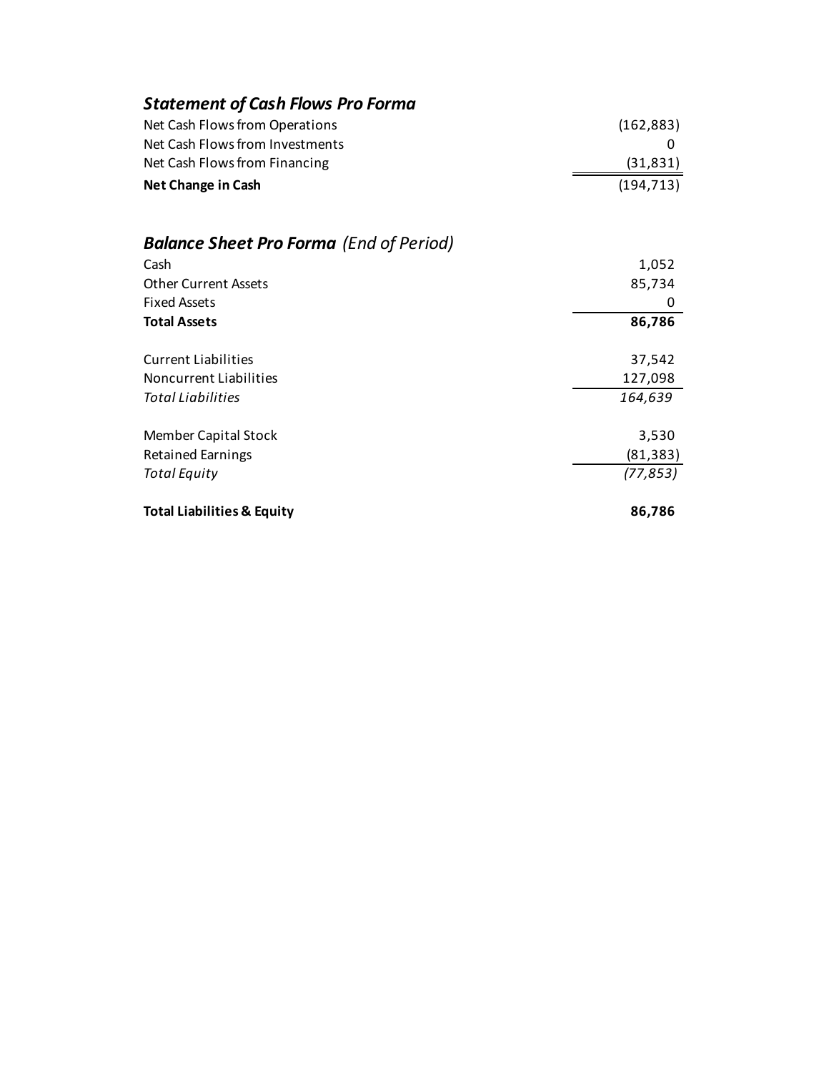| <b>Statement of Cash Flows Pro Forma</b>       |            |
|------------------------------------------------|------------|
| Net Cash Flows from Operations                 | (162, 883) |
| Net Cash Flows from Investments                | 0          |
| Net Cash Flows from Financing                  | (31,831)   |
| Net Change in Cash                             | (194, 713) |
| <b>Balance Sheet Pro Forma</b> (End of Period) |            |
| Cash                                           | 1,052      |
| <b>Other Current Assets</b>                    | 85,734     |
| <b>Fixed Assets</b>                            | 0          |
|                                                |            |
| <b>Total Assets</b>                            | 86,786     |
| <b>Current Liabilities</b>                     | 37,542     |
| <b>Noncurrent Liabilities</b>                  | 127,098    |
| Total Liabilities                              | 164,639    |
| Member Capital Stock                           | 3,530      |
| <b>Retained Earnings</b>                       | (81, 383)  |
| <b>Total Equity</b>                            | (77, 853)  |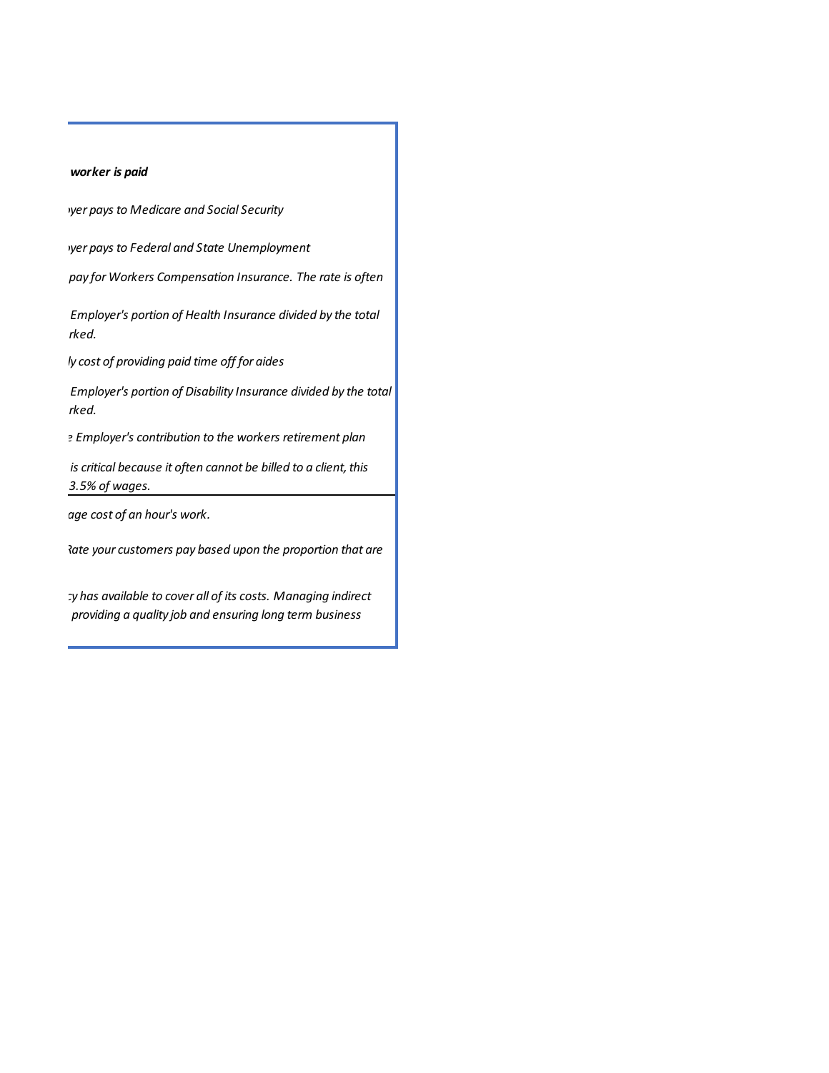### worker is paid

*The reaps to Medicare and Social Security* 

*The rederal and State Unemployment* 

pay for Workers Compensation Insurance. The rate is often

*The total cost of the Employer's portion of Health Insurance divided by the total*  rked.

*This is average hourly cost of providing paid time off for aides*

*The total cost of the Employer's portion of Disability Insurance divided by the total*  rked.

*This is the cost of the Employer's contribution to the workers retirement plan*

*is critical because it often cannot be billed to a client, this model assumes it is 3.5% of wages.*

*This is the total average cost of an hour's work.*

*Tate your customers pay based upon the proportion that are* 

*The funds the Agency has available to cover all of its costs. Managing indirect costs is the secret to providing a quality job and ensuring long term business*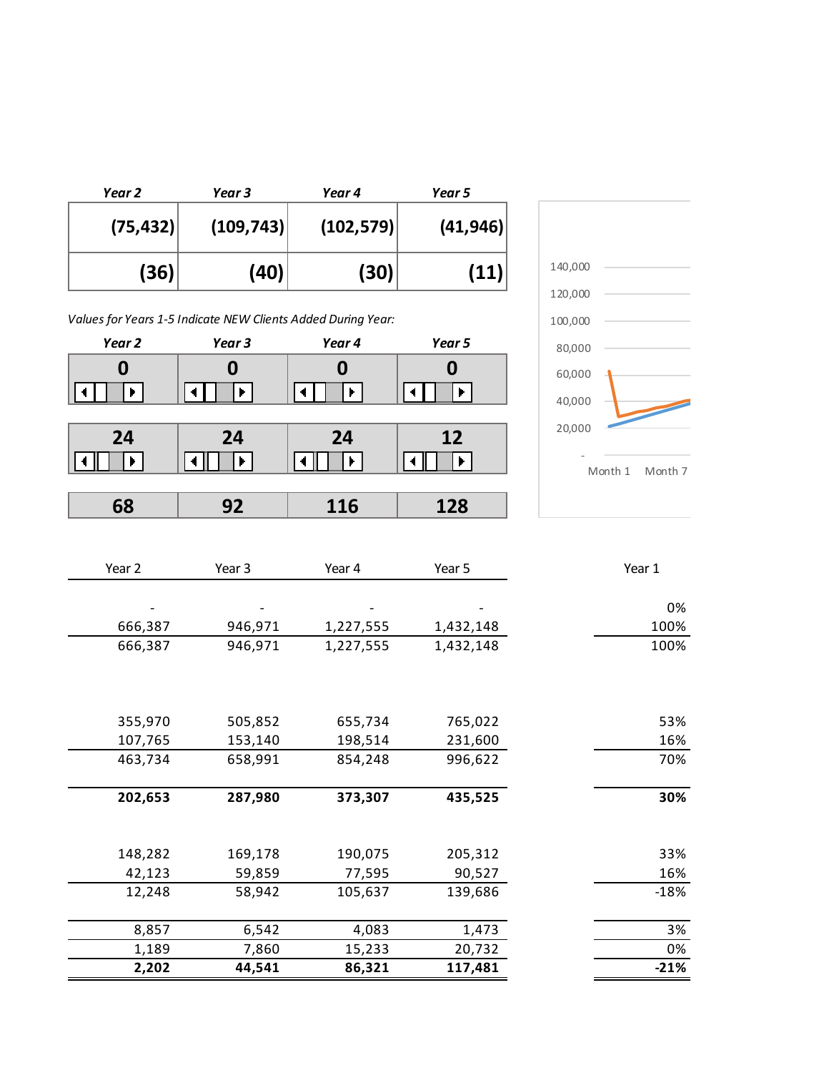| Year 2    | Year 3     | Year 4     | Year 5    |
|-----------|------------|------------|-----------|
| (75, 432) | (109, 743) | (102, 579) | (41, 946) |
| (36)      | (40)       | (30)       | (11)      |

*Values for Years 1-5 Indicate NEW Clients Added During Year:*

| Year 2 | Year 3 | Year 4 | Year 5 |
|--------|--------|--------|--------|
|        |        | 0      |        |
|        | ŀ      | Þ.     | n.     |
| 24     | 24     | 24     | 12     |
|        | ь      | ┣      |        |
|        |        |        |        |
| 68     | 92     | 116    | 128    |



| Year 2  | Year 3  | Year 4    | Year 5    | Year 1 |
|---------|---------|-----------|-----------|--------|
|         |         |           |           |        |
|         |         |           |           | 0%     |
| 666,387 | 946,971 | 1,227,555 | 1,432,148 | 100%   |
| 666,387 | 946,971 | 1,227,555 | 1,432,148 | 100%   |
|         |         |           |           |        |
|         |         |           |           |        |
|         |         |           |           |        |
| 355,970 | 505,852 | 655,734   | 765,022   | 53%    |
| 107,765 | 153,140 | 198,514   | 231,600   | 16%    |
| 463,734 | 658,991 | 854,248   | 996,622   | 70%    |
|         |         |           |           |        |
| 202,653 | 287,980 | 373,307   | 435,525   | 30%    |
|         |         |           |           |        |
|         |         |           |           |        |
| 148,282 | 169,178 | 190,075   | 205,312   | 33%    |
| 42,123  | 59,859  | 77,595    | 90,527    | 16%    |
| 12,248  | 58,942  | 105,637   | 139,686   | $-18%$ |
|         |         |           |           |        |
| 8,857   | 6,542   | 4,083     | 1,473     | 3%     |
| 1,189   | 7,860   | 15,233    | 20,732    | 0%     |
| 2,202   | 44,541  | 86,321    | 117,481   | $-21%$ |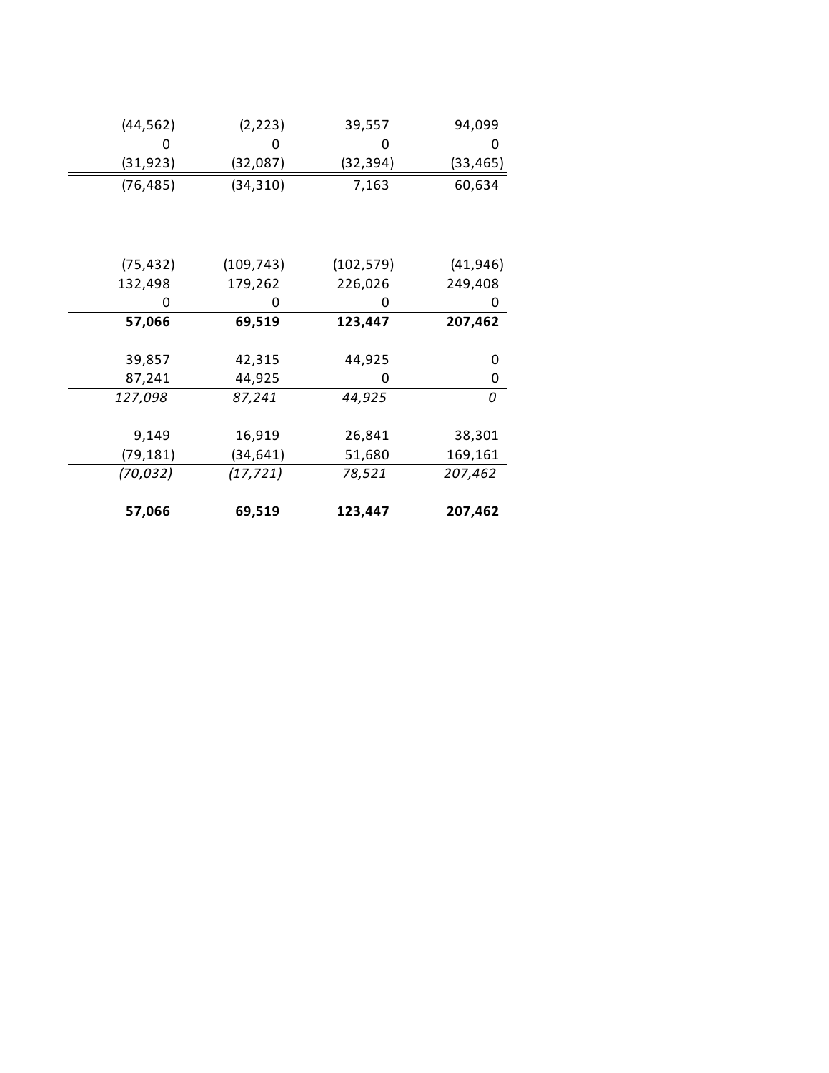| (44, 562) | (2, 223)<br>39,557 |            | 94,099    |
|-----------|--------------------|------------|-----------|
|           | 0                  |            |           |
| (31,923)  | (32,087)           | (32,394)   | (33,465)  |
| (76, 485) | (34, 310)          | 7,163      | 60,634    |
|           |                    |            |           |
|           |                    |            |           |
|           |                    |            |           |
| (75, 432) | (109, 743)         | (102, 579) | (41, 946) |
| 132,498   | 179,262            | 226,026    | 249,408   |
| 0         | 0                  | 0          | O         |
| 57,066    | 69,519             | 123,447    | 207,462   |
|           |                    |            |           |
| 39,857    | 42,315             | 44,925     | 0         |
| 87,241    | 44,925             | O          | 0         |
| 127,098   | 87,241             | 44,925     | 0         |
|           |                    |            |           |
| 9,149     | 16,919             | 26,841     | 38,301    |
| (79,181)  | (34, 641)          | 51,680     | 169,161   |
| (70, 032) | (17, 721)          | 78,521     | 207,462   |
|           |                    |            |           |
|           |                    |            |           |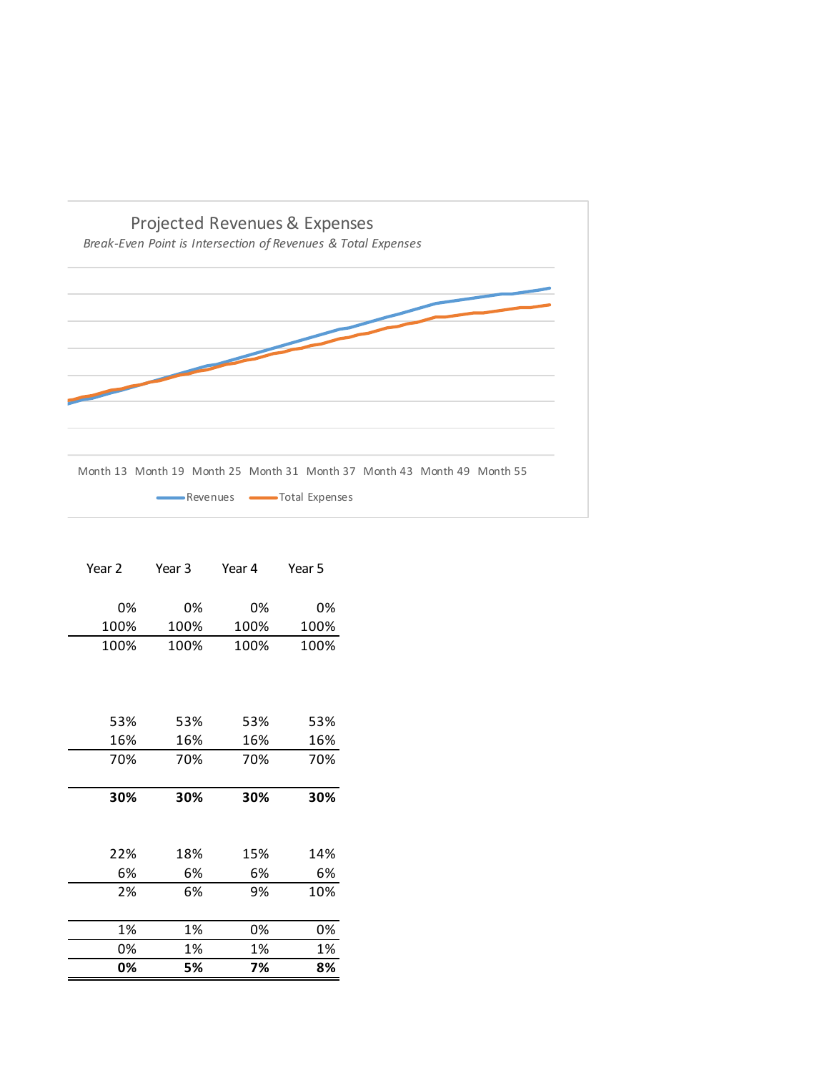

| Year 2 | Year 3       | Year 4 | Year 5 |  |
|--------|--------------|--------|--------|--|
|        |              |        |        |  |
| 0%     | 0%           | 0%     | 0%     |  |
| 100%   | 100%         | 100%   | 100%   |  |
| 100%   | 100%<br>100% |        | 100%   |  |
|        |              |        |        |  |
|        |              |        |        |  |
|        |              |        |        |  |
| 53%    | 53%          | 53%    | 53%    |  |
| 16%    | 16%          | 16%    | 16%    |  |
| 70%    | 70%          | 70%    | 70%    |  |
|        |              |        |        |  |
| 30%    | 30%          | 30%    | 30%    |  |
|        |              |        |        |  |
|        |              |        |        |  |
| 22%    | 18%          | 15%    | 14%    |  |
| 6%     | 6%           | 6%     | 6%     |  |
| 2%     | 6%           | 9%     | 10%    |  |
|        |              |        |        |  |
| 1%     | 1%           | 0%     | 0%     |  |
| 0%     | 1%           | 1%     | 1%     |  |
| 0%     | 5%           | 7%     | 8%     |  |